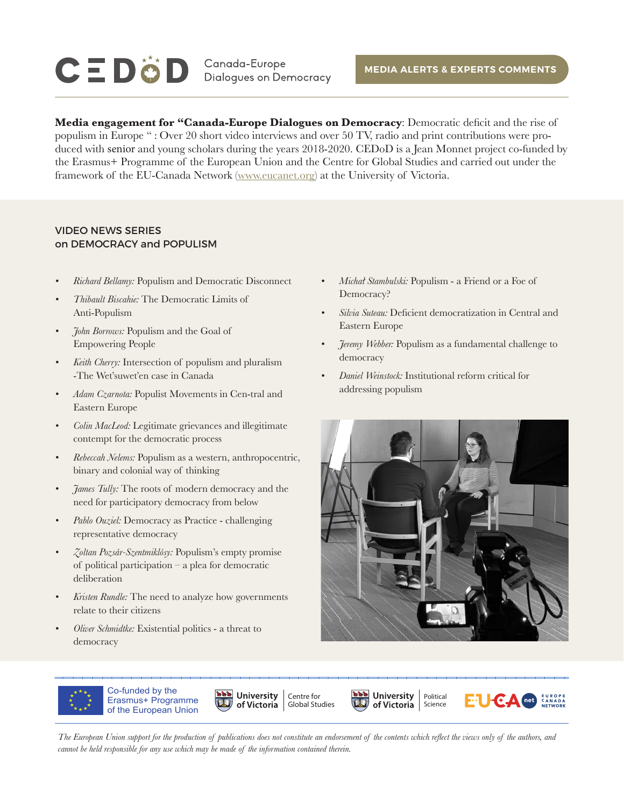# $\mathbf{C} \equiv \mathbf{D} \ddot{\mathbf{C}} \mathbf{D}$  Canada-Europe

**Media engagement for "Canada-Europe Dialogues on Democracy**: Democratic deficit and the rise of populism in Europe " : Over 20 short video interviews and over 50 TV, radio and print contributions were produced with senior and young scholars during the years 2018-2020. CEDoD is a Jean Monnet project co-funded by the Erasmus+ Programme of the European Union and the Centre for Global Studies and carried out under the framework of the EU-Canada Network [\(www.eucanet.org\)](http://www.eucanet.org) at the University of Victoria.

#### VIDEO NEWS SERIES on DEMOCRACY and POPULISM

- *• Richard Bellamy:* Populism and Democratic Disconnect
- *• Thibault Biscahie:* The Democratic Limits of Anti-Populism
- *• John Borrows:* Populism and the Goal of Empowering People
- *• Keith Cherry:* Intersection of populism and pluralism -The Wet'suwet'en case in Canada
- *• Adam Czarnota:* Populist Movements in Cen-tral and Eastern Europe
- *• Colin MacLeod:* Legitimate grievances and illegitimate contempt for the democratic process
- *• Rebeccah Nelems:* Populism as a western, anthropocentric, binary and colonial way of thinking
- $\mathcal{T}$ *ames Tully:* The roots of modern democracy and the need for participatory democracy from below
- *• Pablo Ouziel:* Democracy as Practice challenging representative democracy
- *• Zoltan Pozsár-Szentmiklósy:* Populism's empty promise of political participation – a plea for democratic deliberation
- *• Kristen Rundle:* The need to analyze how governments relate to their citizens
- *• Oliver Schmidtke:* Existential politics a threat to democracy
- *• Michał Stambulski:* Populism a Friend or a Foe of Democracy?
- *• Silvia Suteau:* Deficient democratization in Central and Eastern Europe
- *• Jeremy Webber:* Populism as a fundamental challenge to democracy
- *• Daniel Weinstock:* Institutional reform critical for addressing populism



Science



Co-funded by the Erasmus+ Programme of the European Union







*The European Union support for the production of publications does not constitute an endorsement of the contents which reflect the views only of the authors, and cannot be held responsible for any use which may be made of the information contained therein.*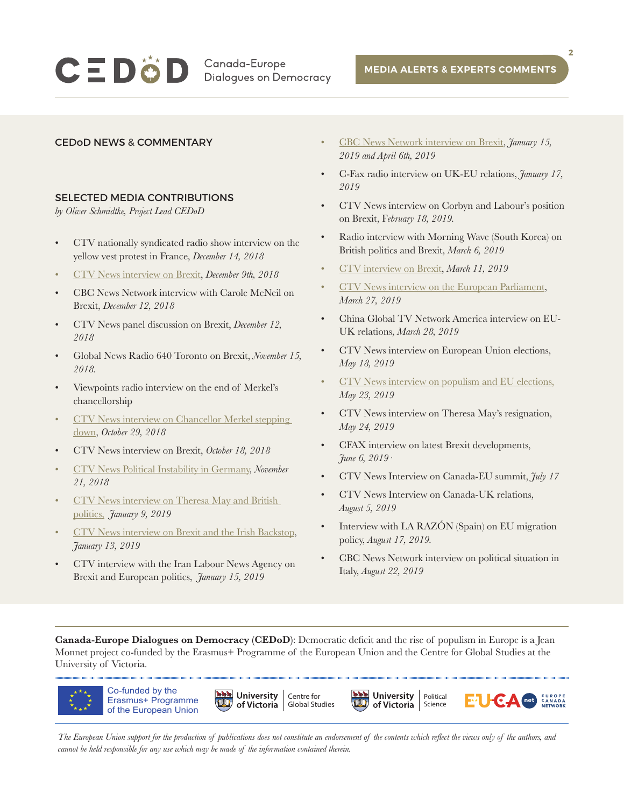## $C \equiv D \ddot{\odot} D$  Canada-Europe

**Dialogues on Democracy** 

**2**

#### CEDoD NEWS & COMMENTARY

#### SELECTED MEDIA CONTRIBUTIONS

*by Oliver Schmidtke, Project Lead CEDoD*

- CTV nationally syndicated radio show interview on the yellow vest protest in France, *December 14, 2018*
- [CTV News interview on Brexit,](https://www.facebook.com/watch/?v=231271477584936) *December 9th, 2018*
- CBC News Network interview with Carole McNeil on Brexit, *December 12, 2018*
- CTV News panel discussion on Brexit, *December 12, 2018*
- Global News Radio 640 Toronto on Brexit, *November 15, 2018.*
- Viewpoints radio interview on the end of Merkel's chancellorship
- [CTV News interview on Chancellor Merkel stepping](https://www.ctvnews.ca/video?clipId=1216969)  [down](https://www.ctvnews.ca/video?clipId=1216969), *October 29, 2018*
- CTV News interview on Brexit, *October 18, 2018*
- [CTV News Political Instability in Germany,](https://www.facebook.com/watch/?v=1607568312637827) *November 21, 2018*
- [CTV News interview on Theresa May and British](https://www.ctvnews.ca/video?clipId=1643250)  [politics,](https://www.ctvnews.ca/video?clipId=1643250) *January 9, 2019*
- [CTV News interview on Brexit and the Irish Backstop,](https://www.facebook.com/watch/?v=778269272565921) *January 13, 2019*
- CTV interview with the Iran Labour News Agency on Brexit and European politics, *January 15, 2019*
- [CBC News Network interview on Brexit,](https://partner.criticalmention.com/bits/wordplay/#/uuid=ee495c2b-e075-4b86-9eea-2bd02bf3da19&channelId=7082&minTime=20190117000000&maxTime=20190117020000&token=e1c4bd40-a62e-4051-9afb-1a41ee97c7b4&chromeless=true) *January 15, 2019 and [April 6th, 2019](https://www.ctvnews.ca/video?clipId=1654568)*
- C-Fax radio interview on UK-EU relations, *January 17, 2019*
- CTV News interview on Corbyn and Labour's position on Brexit, F*ebruary 18, 2019.*
- Radio interview with Morning Wave (South Korea) on British politics and Brexit, *March 6, 2019*
- [CTV interview on Brexit](https://www.ctvnews.ca/video?clipId=1634107), *March 11, 2019*
- [CTV News interview on the European Parliament,](https://www.ctvnews.ca/video?clipId=1646219) *March 27, 2019*
- China Global TV Network America interview on EU-UK relations, *March 28, 2019*
- CTV News interview on European Union elections, *May 18, 2019*
- [CTV News interview on populism and EU elections,](https://twitter.com/NatashaFatah/status/1131755983162601473) *May 23, 2019*
- CTV News interview on Theresa May's resignation, *May 24, 2019*
- CFAX interview on latest Brexit developments, *June 6, 2019·*
- CTV News Interview on Canada-EU summit, *July 17*
- CTV News Interview on Canada-UK relations, *August 5, 2019*
- Interview with LA RAZÓN (Spain) on EU migration policy, *August 17, 2019.*
- CBC News Network interview on political situation in Italy, *August 22, 2019*

**Canada-Europe Dialogues on Democracy (CEDoD)**: Democratic deficit and the rise of populism in Europe is a Jean Monnet project co-funded by the Erasmus+ Programme of the European Union and the Centre for Global Studies at the University of Victoria.



*The European Union support for the production of publications does not constitute an endorsement of the contents which reflect the views only of the authors, and cannot be held responsible for any use which may be made of the information contained therein.*